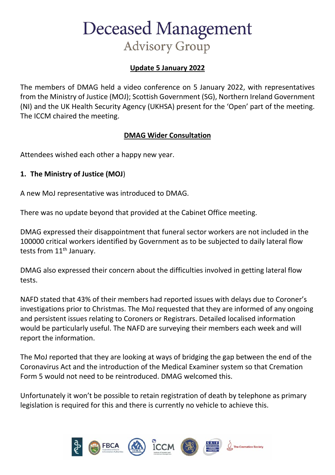# **Update 5 January 2022**

The members of DMAG held a video conference on 5 January 2022, with representatives from the Ministry of Justice (MOJ); Scottish Government (SG), Northern Ireland Government (NI) and the UK Health Security Agency (UKHSA) present for the 'Open' part of the meeting. The ICCM chaired the meeting.

## **DMAG Wider Consultation**

Attendees wished each other a happy new year.

### **1. The Ministry of Justice (MOJ**)

A new MoJ representative was introduced to DMAG.

There was no update beyond that provided at the Cabinet Office meeting.

DMAG expressed their disappointment that funeral sector workers are not included in the 100000 critical workers identified by Government as to be subjected to daily lateral flow tests from 11<sup>th</sup> January.

DMAG also expressed their concern about the difficulties involved in getting lateral flow tests.

NAFD stated that 43% of their members had reported issues with delays due to Coroner's investigations prior to Christmas. The MoJ requested that they are informed of any ongoing and persistent issues relating to Coroners or Registrars. Detailed localised information would be particularly useful. The NAFD are surveying their members each week and will report the information.

The MoJ reported that they are looking at ways of bridging the gap between the end of the Coronavirus Act and the introduction of the Medical Examiner system so that Cremation Form 5 would not need to be reintroduced. DMAG welcomed this.

Unfortunately it won't be possible to retain registration of death by telephone as primary legislation is required for this and there is currently no vehicle to achieve this.

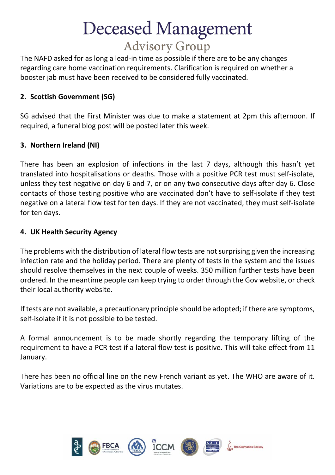The NAFD asked for as long a lead-in time as possible if there are to be any changes regarding care home vaccination requirements. Clarification is required on whether a booster jab must have been received to be considered fully vaccinated.

# **2. Scottish Government (SG)**

SG advised that the First Minister was due to make a statement at 2pm this afternoon. If required, a funeral blog post will be posted later this week.

## **3. Northern Ireland (NI)**

There has been an explosion of infections in the last 7 days, although this hasn't yet translated into hospitalisations or deaths. Those with a positive PCR test must self-isolate, unless they test negative on day 6 and 7, or on any two consecutive days after day 6. Close contacts of those testing positive who are vaccinated don't have to self-isolate if they test negative on a lateral flow test for ten days. If they are not vaccinated, they must self-isolate for ten days.

### **4. UK Health Security Agency**

The problems with the distribution of lateral flow tests are not surprising given the increasing infection rate and the holiday period. There are plenty of tests in the system and the issues should resolve themselves in the next couple of weeks. 350 million further tests have been ordered. In the meantime people can keep trying to order through the Gov website, or check their local authority website.

If tests are not available, a precautionary principle should be adopted; if there are symptoms, self-isolate if it is not possible to be tested.

A formal announcement is to be made shortly regarding the temporary lifting of the requirement to have a PCR test if a lateral flow test is positive. This will take effect from 11 January.

There has been no official line on the new French variant as yet. The WHO are aware of it. Variations are to be expected as the virus mutates.

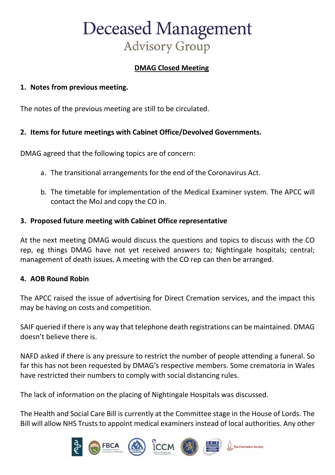## **DMAG Closed Meeting**

#### **1. Notes from previous meeting.**

The notes of the previous meeting are still to be circulated.

### **2. Items for future meetings with Cabinet Office/Devolved Governments.**

DMAG agreed that the following topics are of concern:

- a. The transitional arrangements for the end of the Coronavirus Act.
- b. The timetable for implementation of the Medical Examiner system. The APCC will contact the MoJ and copy the CO in.

#### **3. Proposed future meeting with Cabinet Office representative**

At the next meeting DMAG would discuss the questions and topics to discuss with the CO rep, eg things DMAG have not yet received answers to; Nightingale hospitals; central; management of death issues. A meeting with the CO rep can then be arranged.

#### **4. AOB Round Robin**

The APCC raised the issue of advertising for Direct Cremation services, and the impact this may be having on costs and competition.

SAIF queried if there is any way that telephone death registrations can be maintained. DMAG doesn't believe there is.

NAFD asked if there is any pressure to restrict the number of people attending a funeral. So far this has not been requested by DMAG's respective members. Some crematoria in Wales have restricted their numbers to comply with social distancing rules.

The lack of information on the placing of Nightingale Hospitals was discussed.

The Health and Social Care Bill is currently at the Committee stage in the House of Lords. The Bill will allow NHS Trusts to appoint medical examiners instead of local authorities. Any other